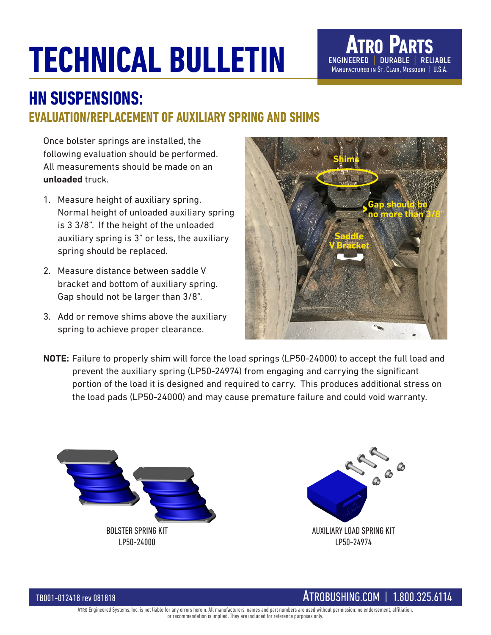## **TECHNICAL BULLETIN**



## **HN SUSPENSIONS: EVALUATION/REPLACEMENT OF AUXILIARY SPRING AND SHIMS**

Once bolster springs are installed, the following evaluation should be performed. All measurements should be made on an **unloaded** truck.

- 1. Measure height of auxiliary spring. Normal height of unloaded auxiliary spring is 3 3/8". If the height of the unloaded auxiliary spring is 3" or less, the auxiliary spring should be replaced.
- 2. Measure distance between saddle V bracket and bottom of auxiliary spring. Gap should not be larger than 3/8".
- 3. Add or remove shims above the auxiliary spring to achieve proper clearance.



**NOTE:** Failure to properly shim will force the load springs (LP50-24000) to accept the full load and prevent the auxiliary spring (LP50-24974) from engaging and carrying the significant portion of the load it is designed and required to carry. This produces additional stress on the load pads (LP50-24000) and may cause premature failure and could void warranty.





## TB001-012418 rev 081818 ATROBUSHING.COM | 1.800.325.6114

Atro Engineered Systems, Inc. is not liable for any errors herein. All manufacturers' names and part numbers are used without permission; no endorsement, affiliation, or recommendation is implied. They are included for reference purposes only.